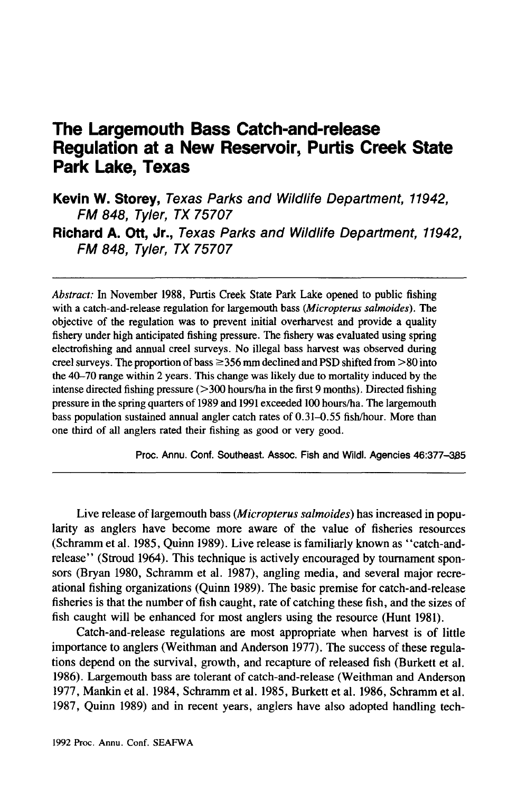# **The Largemouth Bass Catch-and-release Regulation at a New Reservoir, Purtis Creek State Park Lake, Texas**

**Kevin W. Storey,** Texas Parks and Wildlife Department, 11942, FM 848, Tyler, TX 75707 **Richard A. Ott, Jr.,** Texas Parks and Wildlife Department, 11942, FM 848, Tyler, TX 75707

*Abstract:* In November 1988, Purtis Creek State Park Lake opened to public fishing with a catch-and-release regulation for largemouth bass *(Micropterus salmoides).* The objective of the regulation was to prevent initial overharvest and provide a quality fishery under high anticipated fishing pressure. The fishery was evaluated using spring electrofishing and annual creel surveys. No illegal bass harvest was observed during creel surveys. The proportion of bass  $\geq$ 356 mm declined and PSD shifted from  $>80$  into the 40-70 range within 2 years. This change was likely due to mortality induced by the intense directed fishing pressure  $($ >300 hours/ha in the first 9 months). Directed fishing pressure in the spring quarters of 1989 and 1991 exceeded 100 hours/ha. The largemouth bass population sustained annual angler catch rates of 0.31-0.55 fish/hour. More than one third of all anglers rated their fishing as good or very good.

Proc. Annu. Conf. Southeast. Assoc. Fish and Wildl. Agencies 46:377-365

Live release of largemouth bass *{Micropterus salmoides)* has increased in popularity as anglers have become more aware of the value of fisheries resources (Schramm et al. 1985, Quinn 1989). Live release is familiarly known as "catch-andrelease" (Stroud 1964). This technique is actively encouraged by tournament sponsors (Bryan 1980, Schramm et al. 1987), angling media, and several major recreational fishing organizations (Quinn 1989). The basic premise for catch-and-release fisheries is that the number of fish caught, rate of catching these fish, and the sizes of fish caught will be enhanced for most anglers using the resource (Hunt 1981).

Catch-and-release regulations are most appropriate when harvest is of little importance to anglers (Weithman and Anderson 1977). The success of these regulations depend on the survival, growth, and recapture of released fish (Burkett et al. 1986). Largemouth bass are tolerant of catch-and-release (Weithman and Anderson 1977, Mankin et al. 1984, Schramm et al. 1985, Burkett et al. 1986, Schramm et al. 1987, Quinn 1989) and in recent years, anglers have also adopted handling tech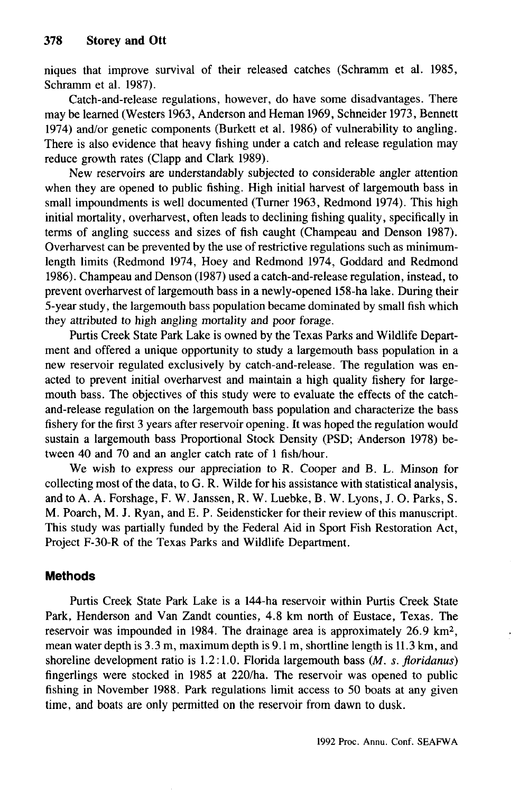niques that improve survival of their released catches (Schramm et al. 1985, Schramm et al. 1987).

Catch-and-release regulations, however, do have some disadvantages. There may be learned (Westers 1963, Anderson and Heman 1969, Schneider 1973, Bennett 1974) and/or genetic components (Burkett et al. 1986) of vulnerability to angling. There is also evidence that heavy fishing under a catch and release regulation may reduce growth rates (Clapp and Clark 1989).

New reservoirs are understandably subjected to considerable angler attention when they are opened to public fishing. High initial harvest of largemouth bass in small impoundments is well documented (Turner 1963, Redmond 1974). This high initial mortality, overharvest, often leads to declining fishing quality, specifically in terms of angling success and sizes of fish caught (Champeau and Denson 1987). Overharvest can be prevented by the use of restrictive regulations such as minimumlength limits (Redmond 1974, Hoey and Redmond 1974, Goddard and Redmond 1986). Champeau and Denson (1987) used a catch-and-release regulation, instead, to prevent overharvest of largemouth bass in a newly-opened 158-ha lake. During their 5-year study, the largemouth bass population became dominated by small fish which they attributed to high angling mortality and poor forage.

Purtis Creek State Park Lake is owned by the Texas Parks and Wildlife Department and offered a unique opportunity to study a largemouth bass population in a new reservoir regulated exclusively by catch-and-release. The regulation was enacted to prevent initial overharvest and maintain a high quality fishery for largemouth bass. The objectives of this study were to evaluate the effects of the catchand-release regulation on the largemouth bass population and characterize the bass fishery for the first 3 years after reservoir opening. It was hoped the regulation would sustain a largemouth bass Proportional Stock Density (PSD; Anderson 1978) between 40 and 70 and an angler catch rate of 1 fish/hour.

We wish to express our appreciation to R. Cooper and B. L. Minson for collecting most of the data, to G. R. Wilde for his assistance with statistical analysis, and to A. A. Forshage, F. W. Janssen, R. W. Luebke, B. W. Lyons, J. O. Parks, S. M. Poarch, M. J. Ryan, and E. P. Seidensticker for their review of this manuscript. This study was partially funded by the Federal Aid in Sport Fish Restoration Act, Project F-30-R of the Texas Parks and Wildlife Department.

## **Methods**

Purtis Creek State Park Lake is a 144-ha reservoir within Purtis Creek State Park, Henderson and Van Zandt counties, 4.8 km north of Eustace, Texas. The reservoir was impounded in 1984. The drainage area is approximately 26.9 km<sup>2</sup>, mean water depth is 3.3 m, maximum depth is 9.1 m, shortline length is 11.3 km, and shoreline development ratio is 1.2:1.0. Florida largemouth bass *(M. s. floridanus)* fingerlings were stocked in 1985 at 220/ha. The reservoir was opened to public fishing in November 1988. Park regulations limit access to 50 boats at any given time, and boats are only permitted on the reservoir from dawn to dusk.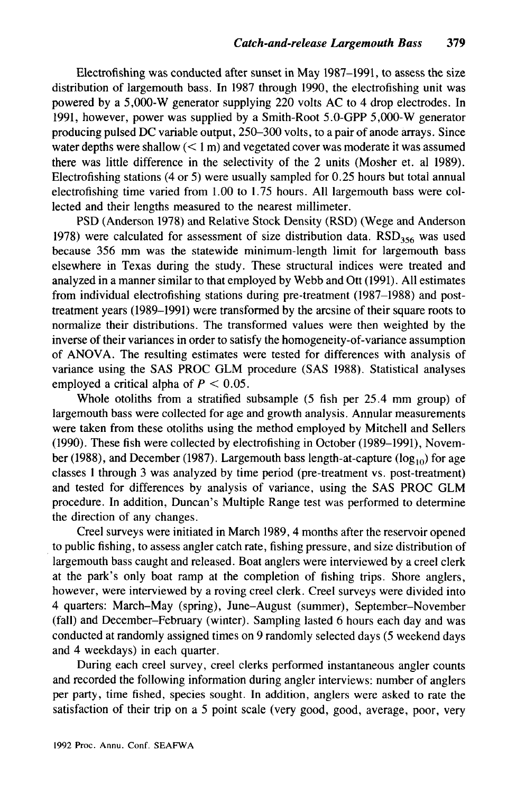Electrofishing was conducted after sunset in May 1987-1991, to assess the size distribution of largemouth bass. In 1987 through 1990, the electrofishing unit was powered by a 5,000-W generator supplying 220 volts AC to 4 drop electrodes. In 1991, however, power was supplied by a Smith-Root 5.0-GPP 5,000-W generator producing pulsed DC variable output, 250-300 volts, to a pair of anode arrays. Since water depths were shallow  $(< 1 \text{ m})$  and vegetated cover was moderate it was assumed there was little difference in the selectivity of the 2 units (Mosher et. al 1989). Electrofishing stations (4 or 5) were usually sampled for  $0.25$  hours but total annual electrofishing time varied from 1.00 to 1.75 hours. All largemouth bass were collected and their lengths measured to the nearest millimeter.

PSD (Anderson 1978) and Relative Stock Density (RSD) (Wege and Anderson 1978) were calculated for assessment of size distribution data.  $RSD<sub>356</sub>$  was used because 356 mm was the statewide minimum-length limit for largemouth bass elsewhere in Texas during the study. These structural indices were treated and analyzed in a manner similar to that employed by Webb and Ott (1991). All estimates from individual electrofishing stations during pre-treatment (1987-1988) and posttreatment years (1989-1991) were transformed by the arcsine of their square roots to normalize their distributions. The transformed values were then weighted by the inverse of their variances in order to satisfy the homogeneity-of-variance assumption of ANOVA. The resulting estimates were tested for differences with analysis of variance using the SAS PROC GLM procedure (SAS 1988). Statistical analyses employed a critical alpha of *P <* 0.05.

Whole otoliths from a stratified subsample (5 fish per 25.4 mm group) of largemouth bass were collected for age and growth analysis. Annular measurements were taken from these otoliths using the method employed by Mitchell and Sellers (1990). These fish were collected by electrofishing in October (1989-1991), November (1988), and December (1987). Largemouth bass length-at-capture ( $log_{10}$ ) for age classes 1 through 3 was analyzed by time period (pre-treatment vs. post-treatment) and tested for differences by analysis of variance, using the SAS PROC GLM procedure. In addition, Duncan's Multiple Range test was performed to determine the direction of any changes.

Creel surveys were initiated in March 1989, 4 months after the reservoir opened to public fishing, to assess angler catch rate, fishing pressure, and size distribution of largemouth bass caught and released. Boat anglers were interviewed by a creel clerk at the park's only boat ramp at the completion of fishing trips. Shore anglers, however, were interviewed by a roving creel clerk. Creel surveys were divided into 4 quarters: March-May (spring), June-August (summer), September-November (fall) and December-February (winter). Sampling lasted 6 hours each day and was conducted at randomly assigned times on 9 randomly selected days (5 weekend days and 4 weekdays) in each quarter.

During each creel survey, creel clerks performed instantaneous angler counts and recorded the following information during angler interviews: number of anglers per party, time fished, species sought. In addition, anglers were asked to rate the satisfaction of their trip on a 5 point scale (very good, good, average, poor, very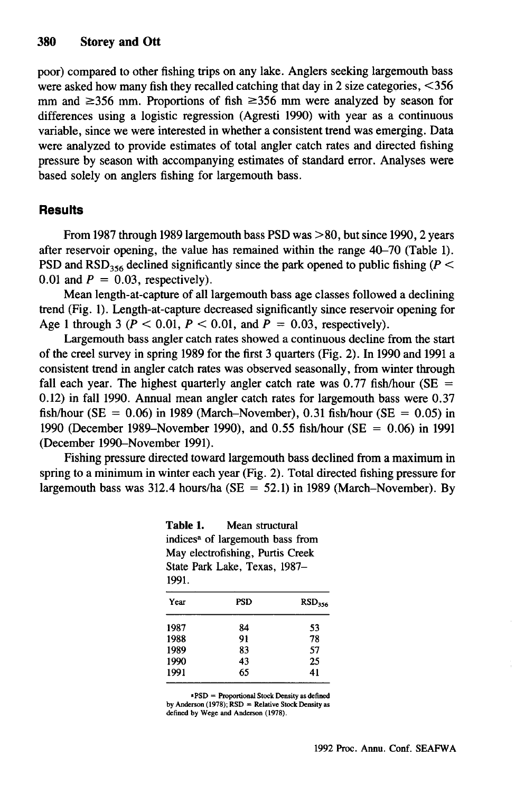poor) compared to other fishing trips on any lake. Anglers seeking largemouth bass were asked how many fish they recalled catching that day in 2 size categories,  $\leq 356$ mm and  $\geq$ 356 mm. Proportions of fish  $\geq$ 356 mm were analyzed by season for differences using a logistic regression (Agresti 1990) with year as a continuous variable, since we were interested in whether a consistent trend was emerging. Data were analyzed to provide estimates of total angler catch rates and directed fishing pressure by season with accompanying estimates of standard error. Analyses were based solely on anglers fishing for largemouth bass.

#### **Results**

From 1987 through 1989 largemouth bass PSD was  $> 80$ , but since 1990, 2 years after reservoir opening, the value has remained within the range 40-70 (Table 1). PSD and RSD<sub>356</sub> declined significantly since the park opened to public fishing ( $P <$ 0.01 and  $P = 0.03$ , respectively).

Mean length-at-capture of all largemouth bass age classes followed a declining trend (Fig. 1). Length-at-capture decreased significantly since reservoir opening for Age 1 through 3 ( $P < 0.01$ ,  $P < 0.01$ , and  $P = 0.03$ , respectively).

Largemouth bass angler catch rates showed a continuous decline from the start of the creel survey in spring 1989 for the first 3 quarters (Fig. 2). In 1990 and 1991 a consistent trend in angler catch rates was observed seasonally, from winter through fall each year. The highest quarterly angler catch rate was  $0.77$  fish/hour (SE = 0.12) in fall 1990. Annual mean angler catch rates for largemouth bass were 0.37 fish/hour ( $SE = 0.06$ ) in 1989 (March-November), 0.31 fish/hour ( $SE = 0.05$ ) in 1990 (December 1989-November 1990), and 0.55 fish/hour (SE = 0.06) in 1991 (December 1990-November 1991).

Fishing pressure directed toward largemouth bass declined from a maximum in spring to a minimum in winter each year (Fig. 2). Total directed fishing pressure for largemouth bass was 312.4 hours/ha ( $SE = 52.1$ ) in 1989 (March-November). By

**Table 1.** Mean structural indices<sup>a</sup> of largemouth bass from May electrofishing, Purtis Creek State Park Lake, Texas, 1987- 1991.

| Year | <b>PSD</b> | RSD <sub>356</sub> |
|------|------------|--------------------|
| 1987 | 84         | 53                 |
| 1988 | 91         | 78                 |
| 1989 | 83         | 57                 |
| 1990 | 43         | 25                 |
| 1991 | 65         | 41                 |

**•PSD = Proportional Stock Density as defined by Anderson (1978); RSD = Relative Stock Density as defined by Wege and Anderson (1978).**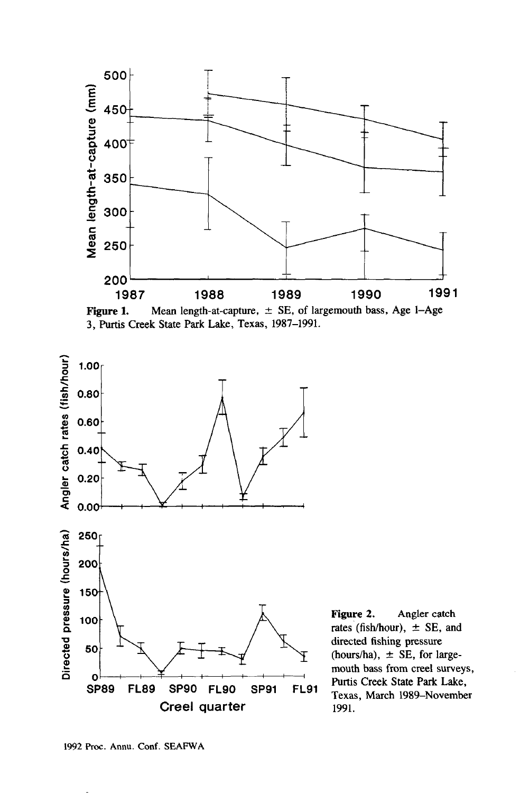





**Figure 2.** Angler catch rates (fish/hour),  $\pm$  SE, and directed fishing pressure (hours/ha),  $\pm$  SE, for largemouth bass from creel surveys, Purtis Creek State Park Lake, Texas, March 1989-November 1991.

1992 Proc. Annu. Conf. SEAFWA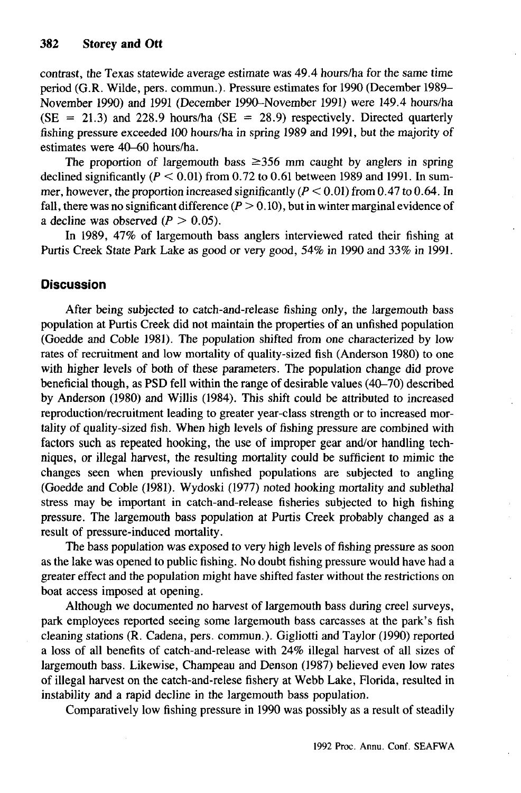contrast, the Texas statewide average estimate was 49.4 hours/ha for the same time period (G.R. Wilde, pers. commun.)- Pressure estimates for 1990 (December 1989- November 1990) and 1991 (December 1990-November 1991) were 149.4 hours/ha  $(SE = 21.3)$  and 228.9 hours/ha  $(SE = 28.9)$  respectively. Directed quarterly fishing pressure exceeded 100 hours/ha in spring 1989 and 1991, but the majority of estimates were 40-60 hours/ha.

The proportion of largemouth bass  $\geq 356$  mm caught by anglers in spring declined significantly *(P <* 0.01) from 0.72 to 0.61 between 1989 and 1991. In summer, however, the proportion increased significantly  $(P < 0.01)$  from 0.47 to 0.64. In fall, there was no significant difference  $(P > 0.10)$ , but in winter marginal evidence of a decline was observed  $(P > 0.05)$ .

In 1989, 47% of largemouth bass anglers interviewed rated their fishing at Purtis Creek State Park Lake as good or very good, 54% in 1990 and 33% in 1991.

# **Discussion**

After being subjected to catch-and-release fishing only, the largemouth bass population at Purtis Creek did not maintain the properties of an unfished population (Goedde and Coble 1981). The population shifted from one characterized by low rates of recruitment and low mortality of quality-sized fish (Anderson 1980) to one with higher levels of both of these parameters. The population change did prove beneficial though, as PSD fell within the range of desirable values (40-70) described by Anderson (1980) and Willis (1984). This shift could be attributed to increased reproduction/recruitment leading to greater year-class strength or to increased mortality of quality-sized fish. When high levels of fishing pressure are combined with factors such as repeated hooking, the use of improper gear and/or handling techniques, or illegal harvest, the resulting mortality could be sufficient to mimic the changes seen when previously unfished populations are subjected to angling (Goedde and Coble (1981). Wydoski (1977) noted hooking mortality and sublethal stress may be important in catch-and-release fisheries subjected to high fishing pressure. The largemouth bass population at Purtis Creek probably changed as a result of pressure-induced mortality.

The bass population was exposed to very high levels of fishing pressure as soon as the lake was opened to public fishing. No doubt fishing pressure would have had a greater effect and the population might have shifted faster without the restrictions on boat access imposed at opening.

Although we documented no harvest of largemouth bass during creel surveys, park employees reported seeing some largemouth bass carcasses at the park's fish cleaning stations (R. Cadena, pers. commun.). Gigliotti and Taylor (1990) reported a loss of all benefits of catch-and-release with 24% illegal harvest of all sizes of largemouth bass. Likewise, Champeau and Denson (1987) believed even low rates of illegal harvest on the catch-and-relese fishery at Webb Lake, Florida, resulted in instability and a rapid decline in the largemouth bass population.

Comparatively low fishing pressure in 1990 was possibly as a result of steadily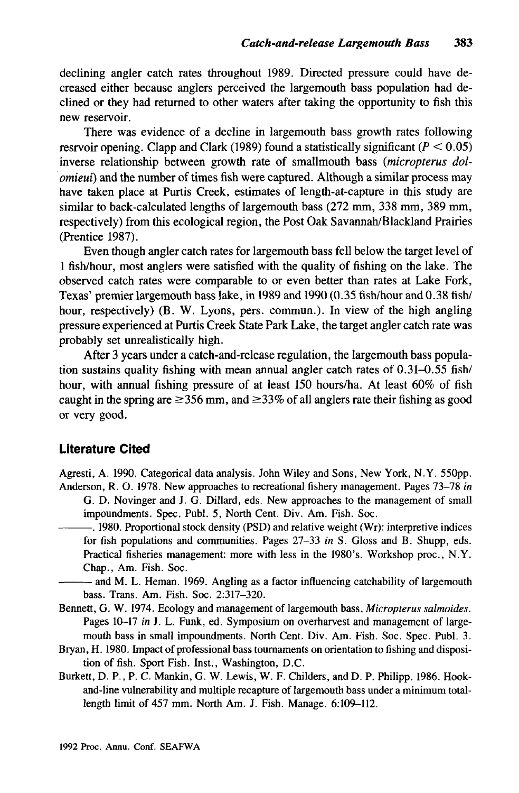declining angler catch rates throughout 1989. Directed pressure could have decreased either because anglers perceived the largemouth bass population had declined or they had returned to other waters after taking the opportunity to fish this new reservoir.

There was evidence of a decline in largemouth bass growth rates following resrvoir opening. Clapp and Clark (1989) found a statistically significant *(P <* 0.05) inverse relationship between growth rate of smallmouth bass *(micropterus dolomieui*) and the number of times fish were captured. Although a similar process may have taken place at Purtis Creek, estimates of length-at-capture in this study are similar to back-calculated lengths of largemouth bass (272 mm, 338 mm, 389 mm, respectively) from this ecological region, the Post Oak Savannah/Blackland Prairies (Prentice 1987).

Even though angler catch rates for largemouth bass fell below the target level of 1 fish/hour, most anglers were satisfied with the quality of fishing on the lake. The observed catch rates were comparable to or even better than rates at Lake Fork, Texas' premier largemouth bass lake, in 1989 and 1990 (0.35 fish/hour and 0.38 fish/ hour, respectively) (B. W. Lyons, pers. commun.). In view of the high angling pressure experienced at Purtis Creek State Park Lake, the target angler catch rate was probably set unrealistically high.

After 3 years under a catch-and-release regulation, the largemouth bass population sustains quality fishing with mean annual angler catch rates of 0.31-0.55 fish/ hour, with annual fishing pressure of at least 150 hours/ha. At least 60% of fish caught in the spring are  $\geq$ 356 mm, and  $\geq$ 33% of all anglers rate their fishing as good or very good.

## **Literature Cited**

Agresti, A. 1990. Categorical data analysis. John Wiley and Sons, New York, N.Y. 550pp. Anderson, R. O. 1978. New approaches to recreational fishery management. Pages 73-78 *in*

G. D. Novinger and J. G. Dillard, eds. New approaches to the management of small impoundments. Spec. Publ. 5, North Cent. Div. Am. Fish. Soc.

. 1980. Proportional stock density (PSD) and relative weight (Wr): interpretive indices for fish populations and communities. Pages 27-33 *in* S. Gloss and B. Shupp, eds. Practical fisheries management: more with less in the 1980's. Workshop proc, N.Y. Chap., Am. Fish. Soc.

• and M. L. Heman. 1969. Angling as a factor influencing catchability of largemouth bass. Trans. Am. Fish. Soc. 2:317-320.

- Bennett, G. W. 1974. Ecology and management of largemouth bass, *Micropterus salmoides.* Pages 10-17 *in* J. L. Funk, ed. Symposium on overharvest and management of largemouth bass in small impoundments. North Cent. Div. Am. Fish. Soc. Spec. Publ. 3.
- Bryan, H. 1980. Impact of professional bass tournaments on orientation to fishing and disposition of fish. Sport Fish. Inst., Washington, D.C.
- Burkett, D. P., P. C. Mankin, G. W. Lewis, W. F. Childers, and D. P. Philipp. 1986. Hookand-line vulnerability and multiple recapture of largemouth bass under a minimum totallength limit of 457 mm. North Am. J. Fish. Manage. 6:109-112.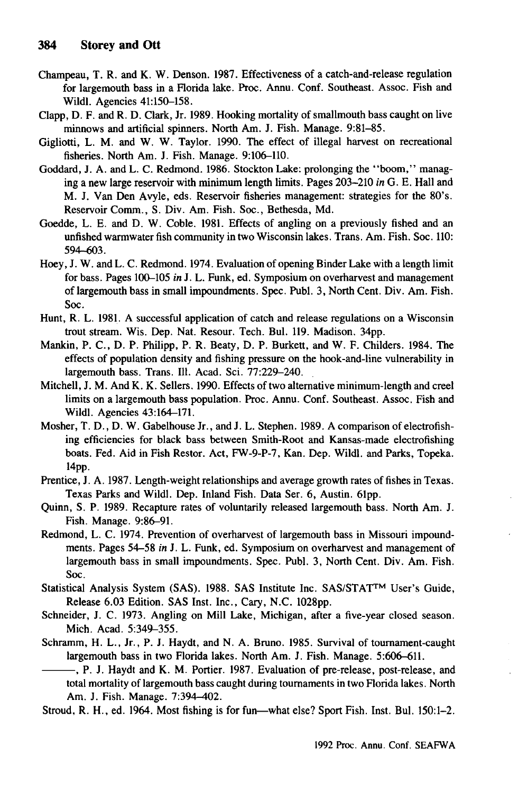- Champeau, T. R. and K. W. Denson. 1987. Effectiveness of a catch-and-release regulation for largemouth bass in a Florida lake. Proc. Annu. Conf. Southeast. Assoc. Fish and Wildl. Agencies 41:150-158.
- Clapp, D. F. and R. D. Clark, Jr. 1989. Hooking mortality of smallmouth bass caught on live minnows and artificial spinners. North Am. J. Fish. Manage. 9:81-85.
- Gigliotti, L. M. and W. W. Taylor. 1990. The effect of illegal harvest on recreational fisheries. North Am. J. Fish. Manage. 9:106-110.
- Goddard, J. A. and L. C. Redmond. 1986. Stockton Lake: prolonging the "boom," managing a new large reservoir with minimum length limits. Pages 203-210 *in* G. E. Hall and M. J. Van Den Avyle, eds. Reservoir fisheries management: strategies for the 80's. Reservoir Comm., S. Div. Am. Fish. Soc., Bethesda, Md.
- Goedde, L. E. and D. W. Coble. 1981. Effects of angling on a previously fished and an unfished warmwater fish community in two Wisconsin lakes. Trans. Am. Fish. Soc. 110: 594-603.
- Hoey, J. W. andL. C. Redmond. 1974. Evaluation of opening Binder Lake with a length limit for bass. Pages 100-105 in J. L. Funk, ed. Symposium on overharvest and management of largemouth bass in small impoundments. Spec. Publ. 3, North Cent. Div. Am. Fish. Soc.
- Hunt, R. L. 1981. A successful application of catch and release regulations on a Wisconsin trout stream. Wis. Dep. Nat. Resour. Tech. Bui. 119. Madison. 34pp.
- Mankin, P. C., D. P. Philipp, P. R. Beaty, D. P. Burkett, and W. F. Childers. 1984. The effects of population density and fishing pressure on the hook-and-line vulnerability in largemouth bass. Trans. 111. Acad. Sci. 77:229-240.
- Mitchell, J. M. And K. K. Sellers. 1990. Effects of two alternative minimum-length and creel limits on a largemouth bass population. Proc. Annu. Conf. Southeast. Assoc. Fish and Wildl. Agencies 43:164-171.
- Mosher, T. D., D. W. Gabelhouse Jr., and J. L. Stephen. 1989. A comparison of electrofishing efficiencies for black bass between Smith-Root and Kansas-made electrofishing boats. Fed. Aid in Fish Restor. Act, FW-9-P-7, Kan. Dep. Wildl. and Parks, Topeka. 14pp.
- Prentice, J. A. 1987. Length-weight relationships and average growth rates of fishes in Texas. Texas Parks and Wildl. Dep. Inland Fish. Data Ser. 6, Austin. 61pp.
- Quinn, S. P. 1989. Recapture rates of voluntarily released largemouth bass. North Am. J. Fish. Manage. 9:86-91.
- Redmond, L. C. 1974. Prevention of overharvest of largemouth bass in Missouri impoundments. Pages 54-58 *in* J. L. Funk, ed. Symposium on overharvest and management of largemouth bass in small impoundments. Spec. Publ. 3, North Cent. Div. Am. Fish. Soc.
- Statistical Analysis System (SAS). 1988. SAS Institute Inc. SAS/STAT™ User's Guide, Release 6.03 Edition. SAS Inst. Inc., Cary, N.C. 1028pp.
- Schneider, J. C. 1973. Angling on Mill Lake, Michigan, after a five-year closed season. Mich. Acad. 5:349-355.
- Schramm, H. L., Jr., P. J. Haydt, and N. A. Bruno. 1985. Survival of tournament-caught largemouth bass in two Florida lakes. North Am. J. Fish. Manage. 5:606-611.

, P. J. Haydt and K. M. Portier. 1987. Evaluation of pre-release, post-release, and total mortality of largemouth bass caught during tournaments in two Florida lakes. North Am. J. Fish. Manage. 7:394-402.

Stroud, R. H., ed. 1964. Most fishing is for fun—what else? Sport Fish. Inst. Bul. 150:1-2.